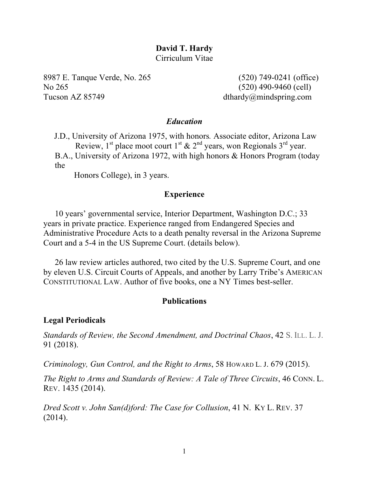# **David T. Hardy**

Cirriculum Vitae

8987 E. Tanque Verde, No. 265 (520) 749-0241 (office) No 265 (520) 490-9460 (cell) Tucson AZ 85749 dthardy@mindspring.com

## *Education*

J.D., University of Arizona 1975, with honors*.* Associate editor, Arizona Law Review,  $1^{st}$  place moot court  $1^{st}$  &  $2^{nd}$  years, won Regionals  $3^{rd}$  year.

B.A., University of Arizona 1972, with high honors & Honors Program (today the

Honors College), in 3 years.

## **Experience**

10 years' governmental service, Interior Department, Washington D.C.; 33 years in private practice. Experience ranged from Endangered Species and Administrative Procedure Acts to a death penalty reversal in the Arizona Supreme Court and a 5-4 in the US Supreme Court. (details below).

26 law review articles authored, two cited by the U.S. Supreme Court, and one by eleven U.S. Circuit Courts of Appeals, and another by Larry Tribe's AMERICAN CONSTITUTIONAL LAW. Author of five books, one a NY Times best-seller.

## **Publications**

## **Legal Periodicals**

*Standards of Review, the Second Amendment, and Doctrinal Chaos*, 42 S. ILL. L. J. 91 (2018).

*Criminology, Gun Control, and the Right to Arms*, 58 HOWARD L. J. 679 (2015).

*The Right to Arms and Standards of Review: A Tale of Three Circuits*, 46 CONN. L. REV. 1435 (2014).

*Dred Scott v. John San(d)ford: The Case for Collusion*, 41 N. KY L. REV. 37 (2014).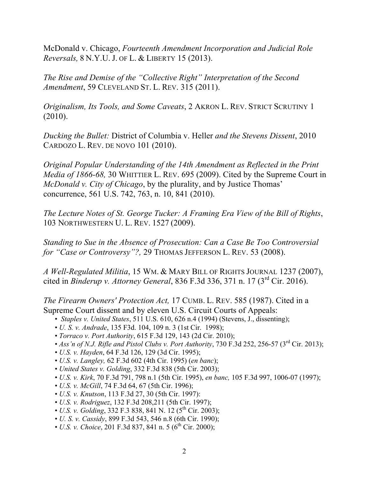McDonald v. Chicago, *Fourteenth Amendment Incorporation and Judicial Role Reversals,* 8 N.Y.U. J. OF L. & LIBERTY 15 (2013).

*The Rise and Demise of the "Collective Right" Interpretation of the Second Amendment*, 59 CLEVELAND ST. L. REV. 315 (2011).

*Originalism, Its Tools, and Some Caveats*, 2 AKRON L. REV. STRICT SCRUTINY 1 (2010).

*Ducking the Bullet:* District of Columbia v. Heller *and the Stevens Dissent*, 2010 CARDOZO L. REV. DE NOVO 101 (2010).

*Original Popular Understanding of the 14th Amendment as Reflected in the Print Media of 1866-68,* 30 WHITTIER L. REV. 695 (2009). Cited by the Supreme Court in *McDonald v. City of Chicago*, by the plurality, and by Justice Thomas' concurrence, 561 U.S. 742, 763, n. 10, 841 (2010).

*The Lecture Notes of St. George Tucker: A Framing Era View of the Bill of Rights*, 103 NORTHWESTERN U. L. REV. 1527 (2009).

*Standing to Sue in the Absence of Prosecution: Can a Case Be Too Controversial for "Case or Controversy"?,* 29 THOMAS JEFFERSON L. REV. 53 (2008).

*A Well-Regulated Militia*, 15 WM. & MARY BILL OF RIGHTS JOURNAL 1237 (2007), cited in *Binderup v. Attorney General*, 836 F.3d 336, 371 n. 17 (3rd Cir. 2016).

*The Firearm Owners' Protection Act,* 17 CUMB. L. REV. 585 (1987). Cited in a Supreme Court dissent and by eleven U.S. Circuit Courts of Appeals:

- *Staples v. United States*, 511 U.S. 610, 626 n.4 (1994) (Stevens, J., dissenting);
- *U. S. v. Andrade*, 135 F3d. 104, 109 n. 3 (1st Cir. 1998);
- *Torraco v. Port Authority*, 615 F.3d 129, 143 (2d Cir. 2010);
- *Ass'n of N.J. Rifle and Pistol Clubs v. Port Authority*, 730 F.3d 252, 256-57 (3<sup>rd</sup> Cir. 2013);
- *U.S. v. Hayden*, 64 F.3d 126, 129 (3d Cir. 1995);
- *U.S. v. Langley,* 62 F.3d 602 (4th Cir. 1995) (*en banc*);
- *United States v. Golding*, 332 F.3d 838 (5th Cir. 2003);
- *U.S. v. Kirk*, 70 F.3d 791, 798 n.1 (5th Cir. 1995), *en banc,* 105 F.3d 997, 1006-07 (1997);
- *U.S. v. McGill*, 74 F.3d 64, 67 (5th Cir. 1996);
- *U.S. v. Knutson*, 113 F.3d 27, 30 (5th Cir. 1997):
- *U.S. v. Rodriguez*, 132 F.3d 208,211 (5th Cir. 1997);
- *U.S. v. Golding*, 332 F.3 838, 841 N. 12 (5<sup>th</sup> Cir. 2003);
- *U. S. v. Cassidy*, 899 F.3d 543, 546 n.8 (6th Cir. 1990);
- *U.S. v. Choice*, 201 F.3d 837, 841 n. 5 ( $6^{\text{th}}$  Cir. 2000);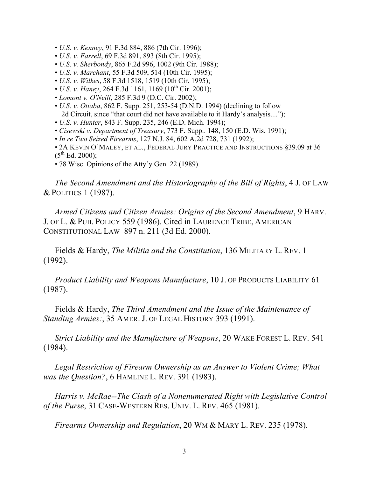- *U.S. v. Kenney*, 91 F.3d 884, 886 (7th Cir. 1996);
- *U.S. v. Farrell*, 69 F.3d 891, 893 (8th Cir. 1995);
- *U.S. v. Sherbondy*, 865 F.2d 996, 1002 (9th Cir. 1988);
- *U.S. v. Marchant*, 55 F.3d 509, 514 (10th Cir. 1995);
- *U.S. v. Wilkes*, 58 F.3d 1518, 1519 (10th Cir. 1995);
- *U.S. v. Haney*, 264 F.3d 1161, 1169 (10<sup>th</sup> Cir. 2001);
- *Lomont v. O'Neill*, 285 F.3d 9 (D.C. Cir. 2002);
- *U.S. v. Otiaba*, 862 F. Supp. 251, 253-54 (D.N.D. 1994) (declining to follow 2d Circuit, since "that court did not have available to it Hardy's analysis....");
- *U.S. v. Hunter*, 843 F. Supp. 235, 246 (E.D. Mich. 1994);
- *Cisewski v. Department of Treasury*, 773 F. Supp.. 148, 150 (E.D. Wis. 1991);
- *In re Two Seized Firearms*, 127 N.J. 84, 602 A.2d 728, 731 (1992);
- 2A KEVIN O'MALEY, ET AL., FEDERAL JURY PRACTICE AND INSTRUCTIONS §39.09 at 36  $(5^{th}$  Ed. 2000);
- 78 Wisc. Opinions of the Atty'y Gen. 22 (1989).

*The Second Amendment and the Historiography of the Bill of Rights*, 4 J. OF LAW & POLITICS 1 (1987).

*Armed Citizens and Citizen Armies: Origins of the Second Amendment*, 9 HARV. J. OF L. & PUB. POLICY 559 (1986). Cited in LAURENCE TRIBE, AMERICAN CONSTITUTIONAL LAW 897 n. 211 (3d Ed. 2000).

Fields & Hardy, *The Militia and the Constitution*, 136 MILITARY L. REV. 1 (1992).

*Product Liability and Weapons Manufacture*, 10 J. OF PRODUCTS LIABILITY 61 (1987).

Fields & Hardy, *The Third Amendment and the Issue of the Maintenance of Standing Armies:*, 35 AMER. J. OF LEGAL HISTORY 393 (1991).

*Strict Liability and the Manufacture of Weapons*, 20 WAKE FOREST L. REV. 541 (1984).

*Legal Restriction of Firearm Ownership as an Answer to Violent Crime; What was the Question?*, 6 HAMLINE L. REV. 391 (1983).

*Harris v. McRae--The Clash of a Nonenumerated Right with Legislative Control of the Purse*, 31 CASE-WESTERN RES. UNIV. L. REV. 465 (1981).

*Firearms Ownership and Regulation*, 20 WM & MARY L. REV. 235 (1978).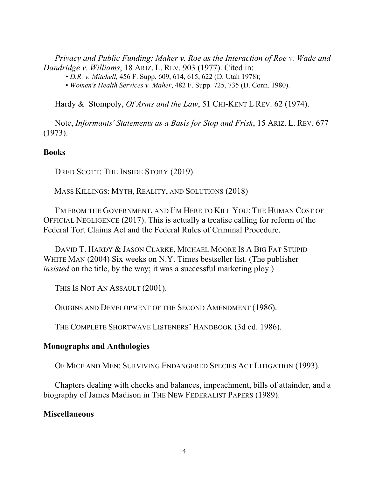*Privacy and Public Funding: Maher v. Roe as the Interaction of Roe v. Wade and Dandridge v. Williams*, 18 ARIZ. L. REV. 903 (1977). Cited in:

• *D.R. v. Mitchell,* 456 F. Supp. 609, 614, 615, 622 (D. Utah 1978);

• *Women's Health Services v. Maher*, 482 F. Supp. 725, 735 (D. Conn. 1980).

Hardy & Stompoly, *Of Arms and the Law*, 51 CHI-KENT L REV. 62 (1974).

Note, *Informants' Statements as a Basis for Stop and Frisk*, 15 ARIZ. L. REV. 677 (1973).

#### **Books**

DRED SCOTT: THE INSIDE STORY (2019).

MASS KILLINGS: MYTH, REALITY, AND SOLUTIONS (2018)

I'M FROM THE GOVERNMENT, AND I'M HERE TO KILL YOU: THE HUMAN COST OF OFFICIAL NEGLIGENCE (2017). This is actually a treatise calling for reform of the Federal Tort Claims Act and the Federal Rules of Criminal Procedure.

DAVID T. HARDY & JASON CLARKE, MICHAEL MOORE IS A BIG FAT STUPID WHITE MAN (2004) Six weeks on N.Y. Times bestseller list. (The publisher *insisted* on the title, by the way; it was a successful marketing ploy.)

THIS IS NOT AN ASSAULT (2001).

ORIGINS AND DEVELOPMENT OF THE SECOND AMENDMENT (1986).

THE COMPLETE SHORTWAVE LISTENERS' HANDBOOK (3d ed. 1986).

# **Monographs and Anthologies**

OF MICE AND MEN: SURVIVING ENDANGERED SPECIES ACT LITIGATION (1993).

Chapters dealing with checks and balances, impeachment, bills of attainder, and a biography of James Madison in THE NEW FEDERALIST PAPERS (1989).

#### **Miscellaneous**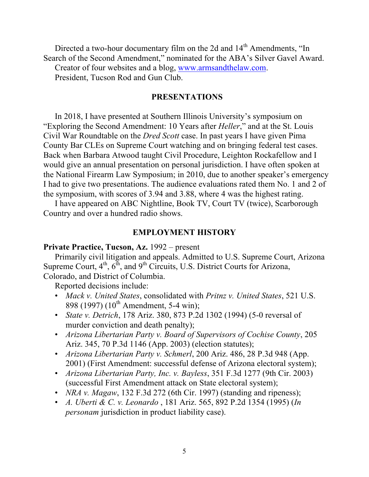Directed a two-hour documentary film on the 2d and 14<sup>th</sup> Amendments, "In Search of the Second Amendment," nominated for the ABA's Silver Gavel Award.

Creator of four websites and a blog, www.armsandthelaw.com.

President, Tucson Rod and Gun Club.

## **PRESENTATIONS**

In 2018, I have presented at Southern Illinois University's symposium on "Exploring the Second Amendment: 10 Years after *Heller*," and at the St. Louis Civil War Roundtable on the *Dred Scott* case. In past years I have given Pima County Bar CLEs on Supreme Court watching and on bringing federal test cases. Back when Barbara Atwood taught Civil Procedure, Leighton Rockafellow and I would give an annual presentation on personal jurisdiction. I have often spoken at the National Firearm Law Symposium; in 2010, due to another speaker's emergency I had to give two presentations. The audience evaluations rated them No. 1 and 2 of the symposium, with scores of 3.94 and 3.88, where 4 was the highest rating.

I have appeared on ABC Nightline, Book TV, Court TV (twice), Scarborough Country and over a hundred radio shows.

## **EMPLOYMENT HISTORY**

### **Private Practice, Tucson, Az.** 1992 – present

Primarily civil litigation and appeals. Admitted to U.S. Supreme Court, Arizona Supreme Court,  $4<sup>th</sup>$ ,  $6<sup>th</sup>$ , and  $9<sup>th</sup>$  Circuits, U.S. District Courts for Arizona, Colorado, and District of Columbia.

Reported decisions include:

- *Mack v. United States*, consolidated with *Pritnz v. United States*, 521 U.S. 898 (1997) (10<sup>th</sup> Amendment, 5-4 win);
- *State v. Detrich*, 178 Ariz. 380, 873 P.2d 1302 (1994) (5-0 reversal of murder conviction and death penalty);
- *Arizona Libertarian Party v. Board of Supervisors of Cochise County*, 205 Ariz. 345, 70 P.3d 1146 (App. 2003) (election statutes);
- *Arizona Libertarian Party v. Schmerl*, 200 Ariz. 486, 28 P.3d 948 (App. 2001) (First Amendment: successful defense of Arizona electoral system);
- *Arizona Libertarian Party, Inc. v. Bayless*, 351 F.3d 1277 (9th Cir. 2003) (successful First Amendment attack on State electoral system);
- *NRA v. Magaw*, 132 F.3d 272 (6th Cir. 1997) (standing and ripeness);
- *A. Uberti & C. v. Leonardo* , 181 Ariz. 565, 892 P.2d 1354 (1995) (*In personam* jurisdiction in product liability case).